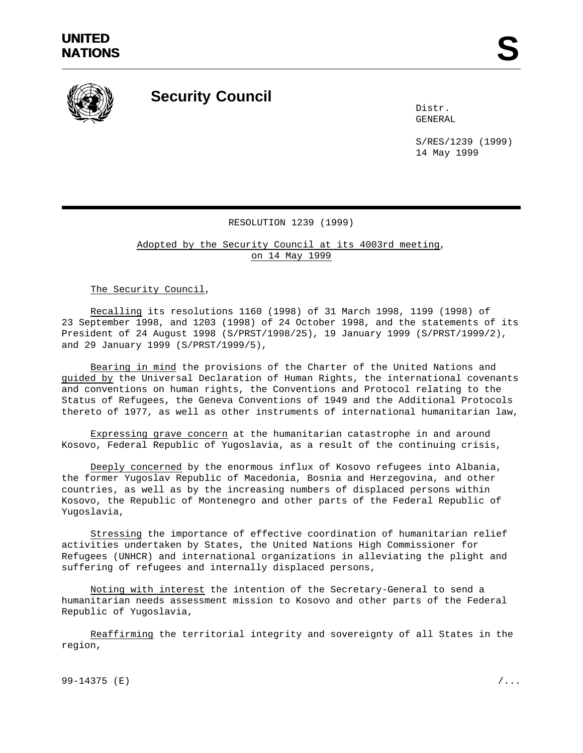

## **Security Council**

Distr. GENERAL

S/RES/1239 (1999) 14 May 1999

## RESOLUTION 1239 (1999)

Adopted by the Security Council at its 4003rd meeting, on 14 May 1999

The Security Council,

Recalling its resolutions 1160 (1998) of 31 March 1998, 1199 (1998) of 23 September 1998, and 1203 (1998) of 24 October 1998, and the statements of its President of 24 August 1998 (S/PRST/1998/25), 19 January 1999 (S/PRST/1999/2), and 29 January 1999 (S/PRST/1999/5),

Bearing in mind the provisions of the Charter of the United Nations and guided by the Universal Declaration of Human Rights, the international covenants and conventions on human rights, the Conventions and Protocol relating to the Status of Refugees, the Geneva Conventions of 1949 and the Additional Protocols thereto of 1977, as well as other instruments of international humanitarian law,

Expressing grave concern at the humanitarian catastrophe in and around Kosovo, Federal Republic of Yugoslavia, as a result of the continuing crisis,

Deeply concerned by the enormous influx of Kosovo refugees into Albania, the former Yugoslav Republic of Macedonia, Bosnia and Herzegovina, and other countries, as well as by the increasing numbers of displaced persons within Kosovo, the Republic of Montenegro and other parts of the Federal Republic of Yugoslavia,

Stressing the importance of effective coordination of humanitarian relief activities undertaken by States, the United Nations High Commissioner for Refugees (UNHCR) and international organizations in alleviating the plight and suffering of refugees and internally displaced persons,

Noting with interest the intention of the Secretary-General to send a humanitarian needs assessment mission to Kosovo and other parts of the Federal Republic of Yugoslavia,

Reaffirming the territorial integrity and sovereignty of all States in the region,